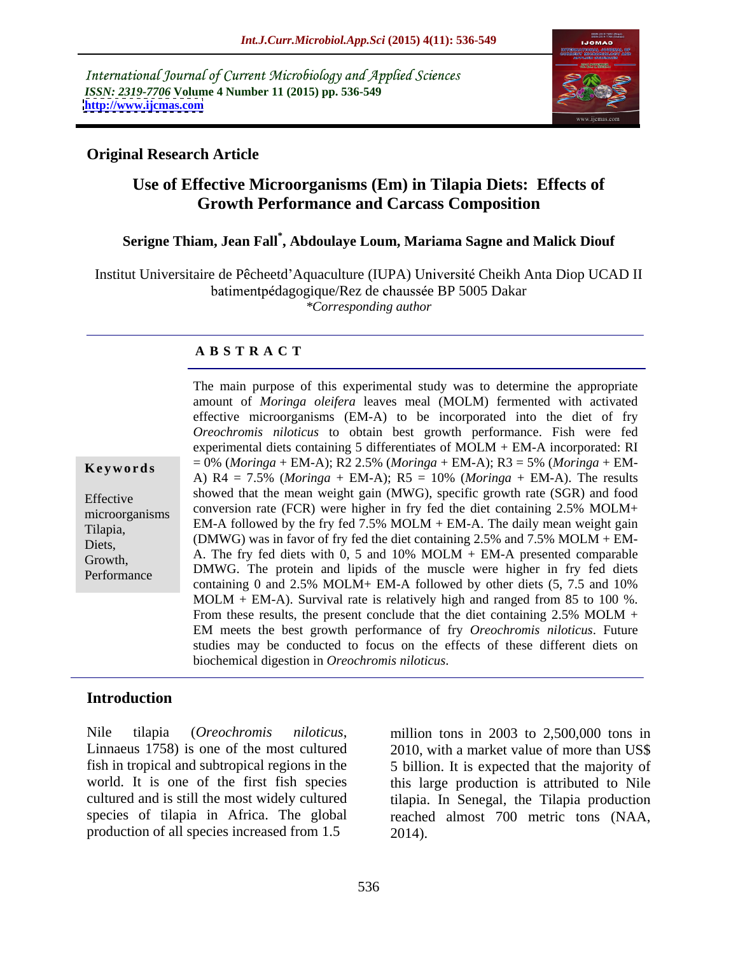International Journal of Current Microbiology and Applied Sciences *ISSN: 2319-7706* **Volume 4 Number 11 (2015) pp. 536-549 <http://www.ijcmas.com>**



### **Original Research Article**

## **Use of Effective Microorganisms (Em) in Tilapia Diets: Effects of Growth Performance and Carcass Composition**

### **Serigne Thiam, Jean Fall\* , Abdoulaye Loum, Mariama Sagne and Malick Diouf**

Institut Universitaire de Pêcheetd'Aquaculture (IUPA) Université Cheikh Anta Diop UCAD II batimentpédagogique/Rez de chaussée BP 5005 Dakar *\*Corresponding author*

### **A B S T R A C T**

|                | The main purpose of this experimental study was to determine the appropriate     |
|----------------|----------------------------------------------------------------------------------|
|                | amount of Moringa oleifera leaves meal (MOLM) fermented with activated           |
|                | effective microorganisms (EM-A) to be incorporated into the diet of fry          |
|                | Oreochromis niloticus to obtain best growth performance. Fish were fed           |
|                | experimental diets containing $5$ differentiates of MOLM + EM-A incorporated: RI |
| Keywords       | $= 0\%$ (Moringa + EM-A); R2 2.5% (Moringa + EM-A); R3 = 5% (Moringa + EM-       |
|                | A) R4 = 7.5% (Moringa + EM-A); R5 = 10% (Moringa + EM-A). The results            |
|                | showed that the mean weight gain (MWG), specific growth rate (SGR) and food      |
| Effective      | conversion rate (FCR) were higher in fry fed the diet containing 2.5% MOLM+      |
| microorganism: | EM-A followed by the fry fed $7.5\%$ MOLM + EM-A. The daily mean weight gain     |
| Tilapia,       | (DMWG) was in favor of fry fed the diet containing 2.5% and 7.5% MOLM + EM-      |
| Diets,         | A. The fry fed diets with 0, 5 and 10% $MOLM + EM-A$ presented comparable        |
| Growth,        |                                                                                  |
| Performance    | DMWG. The protein and lipids of the muscle were higher in fry fed diets          |
|                | containing 0 and 2.5% MOLM+ EM-A followed by other diets (5, 7.5 and 10%         |
|                | $MOLM + EM-A$ ). Survival rate is relatively high and ranged from 85 to 100 %.   |
|                | From these results, the present conclude that the diet containing $2.5\%$ MOLM + |
|                | EM meets the best growth performance of fry Oreochromis niloticus. Future        |
|                | studies may be conducted to focus on the effects of these different diets on     |
|                | biochemical digestion in Oreochromis niloticus.                                  |
|                |                                                                                  |

### **Introduction**

Nile tilapia (*Oreochromis niloticus*, million tons in 2003 to 2,500,000 tons in<br>Linnaeus 1758) is one of the most cultured 2010, with a market value of more than US\$ fish in tropical and subtropical regions in the 5 billion. It is expected that the majority of world. It is one of the first fish species this large production is attributed to Nile cultured and is still the most widely cultured tilapia. In Senegal, the Tilapia production species of tilapia in Africa. The global reached almost 700 metric tons (NAA, production of all species increased from 1.5 2014).

million tons in 2003 to 2,500,000 tons in 2010, with a market value of more than US\$ 2014).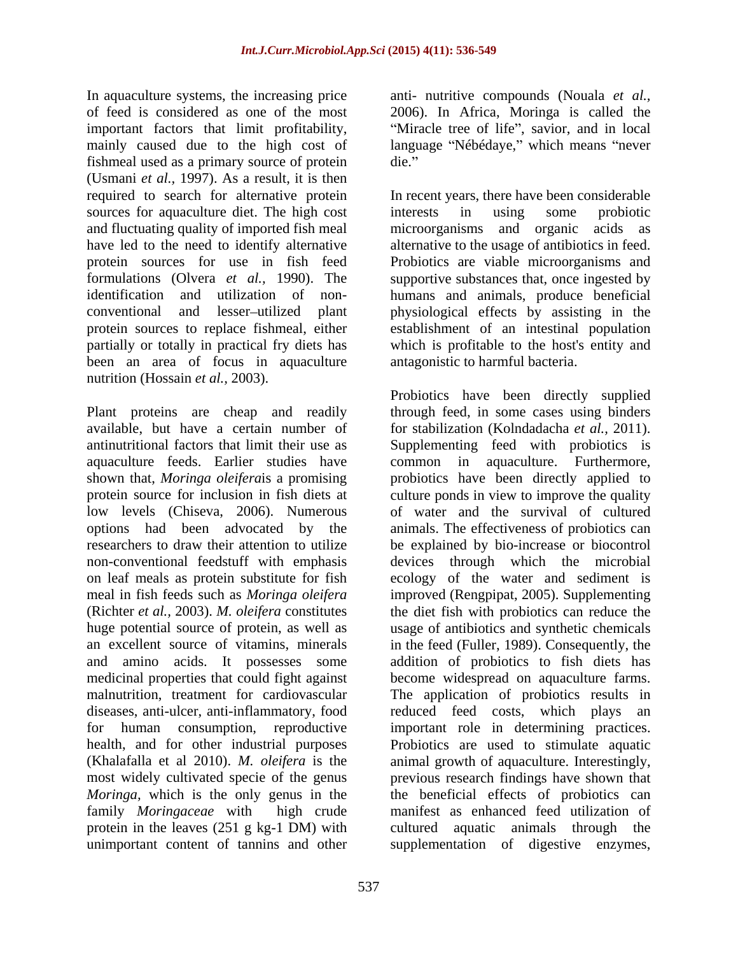In aquaculture systems, the increasing price anti- nutritive compounds (Nouala *et al.,* of feed is considered as one of the most 2006). In Africa, Moringa is called the important factors that limit profitability, mainly caused due to the high cost of language "Nébédaye," which means "never fishmeal used as a primary source of protein (Usmani *et al.,* 1997). As a result, it is then required to search for alternative protein In recent years, there have been considerable sources for aquaculture diet. The high cost interests in using some probiotic and fluctuating quality of imported fish meal microorganisms and organic acids as have led to the need to identify alternative alternative to the usage of antibiotics in feed. protein sources for use in fish feed Probiotics are viable microorganisms and formulations (Olvera *et al.,* 1990). The supportive substances that, once ingested by identification and utilization of non- humans and animals, produce beneficial conventional and lesser utilized plant physiological effects by assisting in the protein sources to replace fishmeal, either establishment of an intestinal population partially or totally in practical fry diets has which is profitable to the host's entity and been an area of focus in aquaculture nutrition (Hossain *et al.,* 2003).

aquaculture feeds. Earlier studies have and amino acids. It possesses some

"Miracle tree of life", savior, and in local die.

interests in using some probiotic microorganisms and organic antagonistic to harmful bacteria.

Plant proteins are cheap and readily through feed, in some cases using binders available, but have a certain number of for stabilization (Kolndadacha *et al.,* 2011). antinutritional factors that limit their use as Supplementing feed with probiotics is shown that, *Moringa oleifera*is a promising probiotics have been directly applied to protein source for inclusion in fish diets at culture ponds in view to improve the quality low levels (Chiseva, 2006). Numerous of water and the survival of cultured options had been advocated by the animals. The effectiveness of probiotics can researchers to draw their attention to utilize be explained by bio-increase or biocontrol non-conventional feedstuff with emphasis devices through which the microbial on leaf meals as protein substitute for fish ecology of the water and sediment is meal in fish feeds such as *Moringa oleifera* improved (Rengpipat, 2005). Supplementing (Richter *et al.,* 2003). *M. oleifera* constitutes the diet fish with probiotics can reduce the huge potential source of protein, as well as usage of antibiotics and synthetic chemicals an excellent source of vitamins, minerals in the feed (Fuller, 1989). Consequently, the medicinal properties that could fight against become widespread on aquaculture farms. malnutrition, treatment for cardiovascular The application of probiotics results in diseases, anti-ulcer, anti-inflammatory, food reduced feed costs, which plays an for human consumption, reproductive important role in determining practices. health, and for other industrial purposes Probiotics are used to stimulate aquatic (Khalafalla et al 2010). *M. oleifera* is the animal growth of aquaculture. Interestingly, most widely cultivated specie of the genus previous research findings have shown that *Moringa*, which is the only genus in the the beneficial effects of probiotics can family *Moringaceae* with high crude manifest as enhanced feed utilization of protein in the leaves (251 g kg-1 DM) with cultured aquatic animals through the unimportant content of tannins and other supplementation of digestive enzymes,Probiotics have been directly supplied aquaculture. Furthermore, addition of probiotics to fish diets has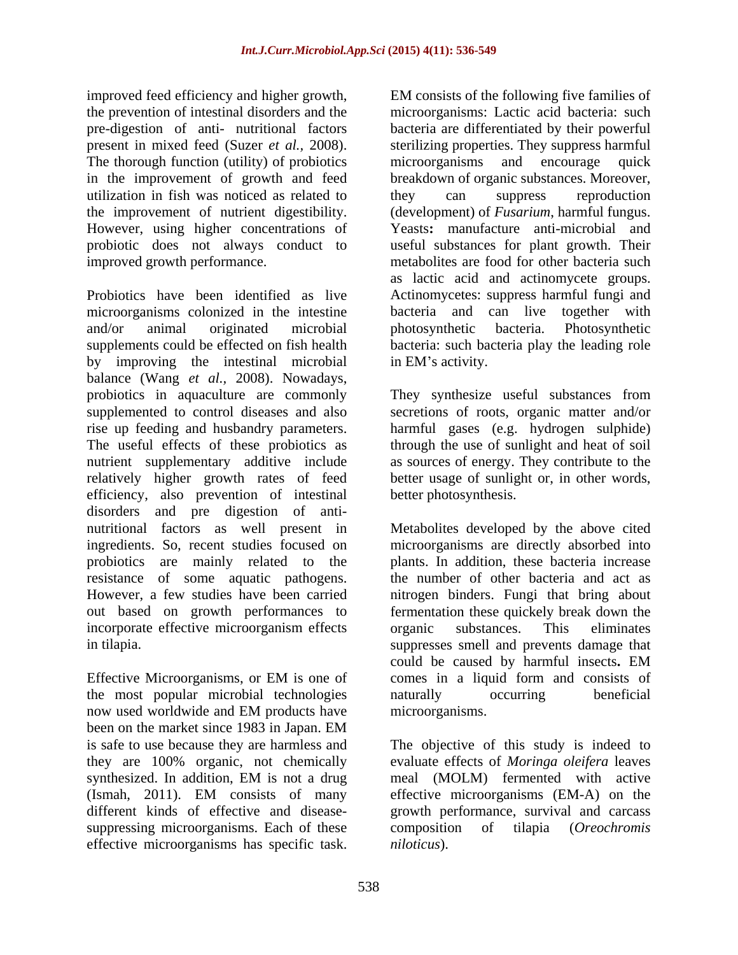improved feed efficiency and higher growth, EM consists of the following five families of the prevention of intestinal disorders and the pre-digestion of anti- nutritional factors bacteria are differentiated by their powerful present in mixed feed (Suzer *et al.,* 2008). sterilizing properties. They suppress harmful The thorough function (utility) of probiotics microorganisms and encourage quick in the improvement of growth and feed breakdown of organic substances. Moreover, utilization in fish was noticed as related to they can suppress reproduction the improvement of nutrient digestibility. (development) of *Fusarium*, harmful fungus.<br>However, using higher concentrations of Yeasts: manufacture anti-microbial and probiotic does not always conduct to improved growth performance. metabolites are food for other bacteria such

Probiotics have been identified as live Actinomycetes: suppress harmful fungi and microorganisms colonized in the intestine and/or animal originated microbial supplements could be effected on fish health bacteria: such bacteria play the leading role by improving the intestinal microbial in EM's activity. balance (Wang *et al.,* 2008). Nowadays, probiotics in aquaculture are commonly They synthesize useful substances from supplemented to control diseases and also secretions of roots, organic matter and/or rise up feeding and husbandry parameters. harmful gases (e.g. hydrogen sulphide) The useful effects of these probiotics as through the use of sunlight and heat of soil nutrient supplementary additive include as sources of energy. They contribute to the relatively higher growth rates of feed better usage of sunlight or, in other words, efficiency, also prevention of intestinal disorders and pre digestion of anti nutritional factors as well present in Metabolites developed by the above cited ingredients. So, recent studies focused on microorganisms are directly absorbed into probiotics are mainly related to the resistance of some aquatic pathogens. the number of other bacteria and act as However, a few studies have been carried nitrogen binders. Fungi that bring about out based on growth performances to fermentation these quickely break down the incorporate effective microorganism effects organic substances. This eliminates in tilapia. suppresses smell and prevents damage that injuoned growth external in the microison of the specific and the specific task of the specific specific of the microorganisms. Lack is distributed by the production of the microorganisms has specific the internal internal

the most popular microbial technologies now used worldwide and EM products have microorganisms. been on the market since 1983 in Japan. EM suppressing microorganisms. Each of these composition of tilapia (Oreochromis

microorganisms: Lactic acid bacteria: such microorganisms and encourage quick they can suppress reproduction (development) of *Fusarium*, harmful fungus. Yeasts**:** manufacture anti-microbial and useful substances for plant growth. Their as lactic acid and actinomycete groups. bacteria and can live together with photosynthetic bacteria. Photosynthetic

in EM's activity.<br>They synthesize useful substances from better photosynthesis.

Effective Microorganisms, or EM is one of comes in a liquid form and consists of plants. In addition, these bacteria increase organic substances. This eliminates could be caused by harmful insects**.** EM comes in a liquid form and consists of naturally occurring beneficial microorganisms.

is safe to use because they are harmless and The objective of this study is indeed to they are 100% organic, not chemically evaluate effects of *Moringa oleifera* leaves synthesized. In addition, EM is not a drug meal (MOLM) fermented with active (Ismah, 2011). EM consists of many effective microorganisms (EM-A) on the different kinds of effective and disease- growth performance, survival and carcass meal (MOLM) fermented with active effective microorganisms (EM-A) on the composition of tilapia (*Oreochromis niloticus*).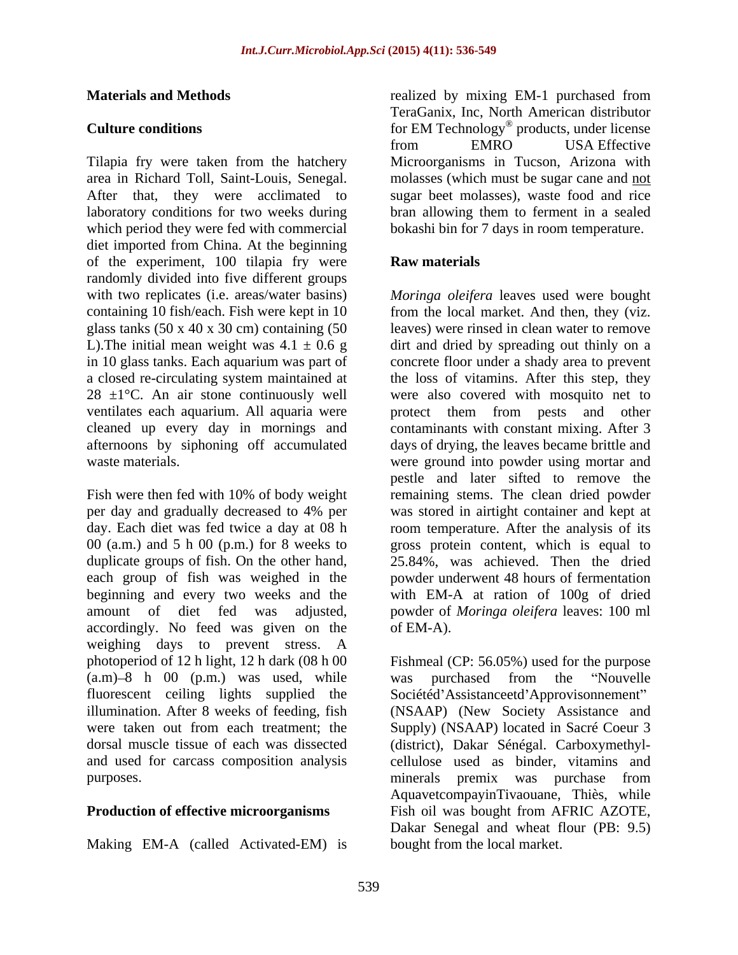Tilapia fry were taken from the hatchery Microorganisms in Tucson, Arizona with area in Richard Toll, Saint-Louis, Senegal. molasses (which must be sugar cane and not After that, they were acclimated to sugar beet molasses), waste food and rice laboratory conditions for two weeks during which period they were fed with commercial diet imported from China. At the beginning of the experiment, 100 tilapia fry were **Raw materials** randomly divided into five different groups glass tanks  $(50 \times 40 \times 30 \text{ cm})$  containing  $(50 \text{ m})$ cleaned up every day in mornings and

Fish were then fed with 10% of body weight remaining stems. The clean dried powder per day and gradually decreased to 4% per was stored in airtight container and kept at day. Each diet was fed twice a day at 08 h room temperature. After the analysis of its 00 (a.m.) and 5 h 00 (p.m.) for 8 weeks to gross protein content, which is equal to duplicate groups of fish. On the other hand, each group of fish was weighed in the powder underwent 48 hours of fermentation beginning and every two weeks and the with EM-A at ration of 100g of dried amount of diet fed was adjusted, powder of *Moringa oleifera* leaves: 100 ml accordingly. No feed was given on the of EM-A). weighing days to prevent stress. A photoperiod of 12 h light, 12 h dark (08 h 00  $(a.m)-8$  h 00  $(p.m.)$  was used, while was purchased from the "Nouvelle" fluorescent ceiling lights supplied the illumination. After 8 weeks of feeding, fish illumination. After 8 weeks of feeding, fish (NSAAP) (New Society Assistance and were taken out from each treatment; the Supply) (NSAAP) located in Sacré Coeur 3 dorsal muscle tissue of each was dissected (district), Dakar Sénégal. Carboxymethyl and used for carcass composition analysis purposes. The purposes is the purposes in the purposes is the purposes in the purposes in the purposes in the purpose is the purpose of  $\mu$  and  $\mu$  and  $\mu$  and  $\mu$  and  $\mu$  and  $\mu$  and  $\mu$  and  $\mu$  and  $\mu$  and  $\mu$ 

Making EM-A (called Activated-EM) is

**Materials and Methods** realized by mixing EM-1 purchased from **Culture conditions conditions for EM Technology**<sup>®</sup> products, under license TeraGanix, Inc, North American distributor from EMRO USA Effective bran allowing them to ferment in a sealed bokashi bin for 7 days in room temperature.

### **Raw materials**

with two replicates (i.e. areas/water basins) *Moringa oleifera* leaves used were bought containing 10 fish/each. Fish were kept in 10 from the local market. And then, they (viz. L). The initial mean weight was  $4.1 \pm 0.6$  g dirt and dried by spreading out thinly on a in 10 glass tanks. Each aquarium was part of concrete floor under a shady area to prevent a closed re-circulating system maintained at the loss of vitamins. After this step, they  $28 \pm 1$ °C. An air stone continuously well were also covered with mosquito net to ventilates each aquarium. All aquaria were protect them from pests and other afternoons by siphoning off accumulated days of drying, the leaves became brittle and waste materials. were ground into powder using mortar and leaves) were rinsed in clean water to remove contaminants with constant mixing. After 3 pestle and later sifted to remove the 25.84%, was achieved. Then the dried of EM-A).

**Production of effective microorganisms** Fish oil was bought from AFRIC AZOTE, Fishmeal (CP: 56.05%) used for the purpose was purchased from the "Nouvelle Sociétéd'Assistanceetd'Approvisonnement" cellulose used as binder, vitamins and minerals premix was purchase from AquavetcompayinTivaouane, Thiès, while Dakar Senegal and wheat flour (PB: 9.5) bought from the local market.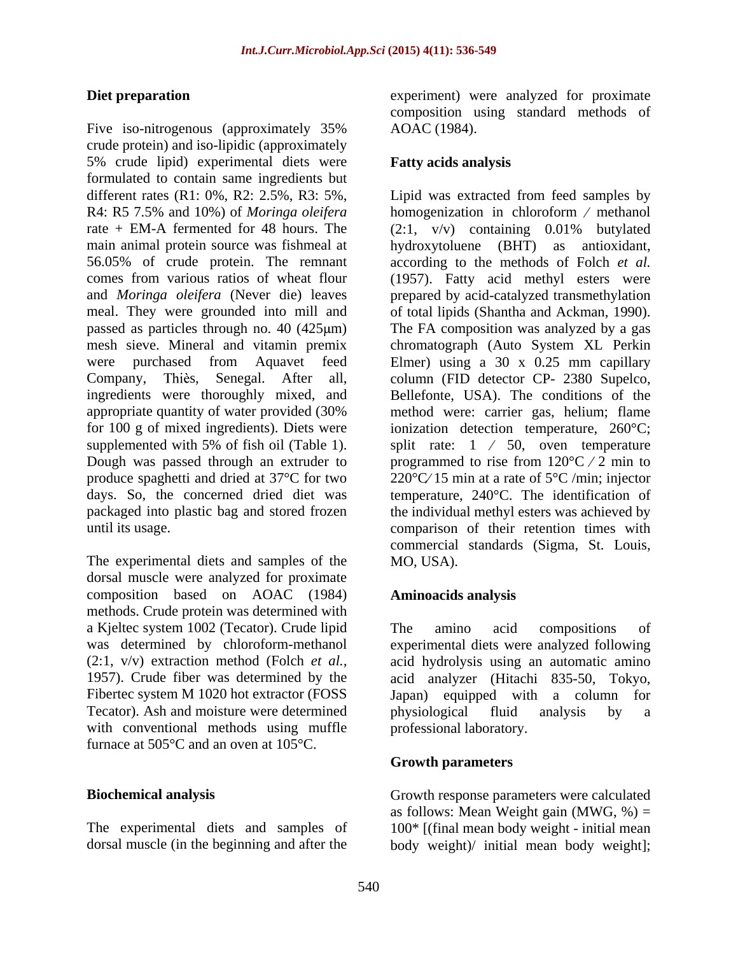Five iso-nitrogenous (approximately 35% AOAC (1984). crude protein) and iso-lipidic (approximately 5% crude lipid) experimental diets were formulated to contain same ingredients but

The experimental diets and samples of the MO, USA). dorsal muscle were analyzed for proximate composition based on AOAC (1984) methods. Crude protein was determined with a Kjeltec system 1002 (Tecator). Crude lipid The amino acid compositions of Tecator). Ash and moisture were determined by physiological fluid analysis by a with conventional methods using muffle furnace at 505°C and an oven at 105°C.

The experimental diets and samples of 100\* [(final mean body weight - initial mean

**Diet preparation** experiment) were analyzed for proximate composition using standard methods of AOAC (1984).

### **Fatty acids analysis**

different rates (R1: 0%, R2: 2.5%, R3: 5%, Lipid was extracted from feed samples by R4: R5 7.5% and 10%) of *Moringa oleifera* homogenization in chloroform / methanol rate + EM-A fermented for 48 hours. The (2:1, v/v) containing 0.01% butylated main animal protein source was fishmeal at hydroxytoluene (BHT) as antioxidant, 56.05% of crude protein. The remnant according to the methods of Folch *et al.* comes from various ratios of wheat flour (1957). Fatty acid methyl esters were and *Moringa oleifera* (Never die) leaves prepared by acid-catalyzed transmethylation meal. They were grounded into mill and of total lipids (Shantha and Ackman, 1990). passed as particles through no. 40 (425 $\mu$ m) The FA composition was analyzed by a gas mesh sieve. Mineral and vitamin premix chromatograph (Auto System XL Perkin were purchased from Aquavet feed Elmer) using a 30 x 0.25 mm capillary Company, Thiès, Senegal. After all, column (FID detector CP- 2380 Supelco, ingredients were thoroughly mixed, and Bellefonte, USA). The conditions of the appropriate quantity of water provided (30% method were: carrier gas, helium; flame for 100 g of mixed ingredients). Diets were ionization detection temperature, 260°C; supplemented with 5% of fish oil (Table 1). split rate:  $1 \times 50$ , oven temperature Dough was passed through an extruder to  $\qquad$  programmed to rise from 120°C  $\neq$  2 min to produce spaghetti and dried at 37°C for two 220°C 15 min at a rate of 5°C /min; injector days. So, the concerned dried diet was temperature, 240°C. The identification of packaged into plastic bag and stored frozen the individual methyl esters was achieved by until its usage. comparison of their retention times with commercial standards (Sigma, St. Louis, MO, USA).

### **Aminoacids analysis**

was determined by chloroform-methanol experimental diets were analyzed following (2:1, v/v) extraction method (Folch *et al.,* acid hydrolysis using an automatic amino 1957). Crude fiber was determined by the acid analyzer (Hitachi 835-50, Tokyo, Fibertec system M 1020 hot extractor (FOSS Japan) equipped with a column for The amino acid compositions of physiological fluid analysis by a professional laboratory.

### **Growth parameters**

**Biochemical analysis** Growth response parameters were calculated dorsal muscle (in the beginning and after the body weight)/ initial mean body weight]; as follows: Mean Weight gain (MWG,  $\%$ ) =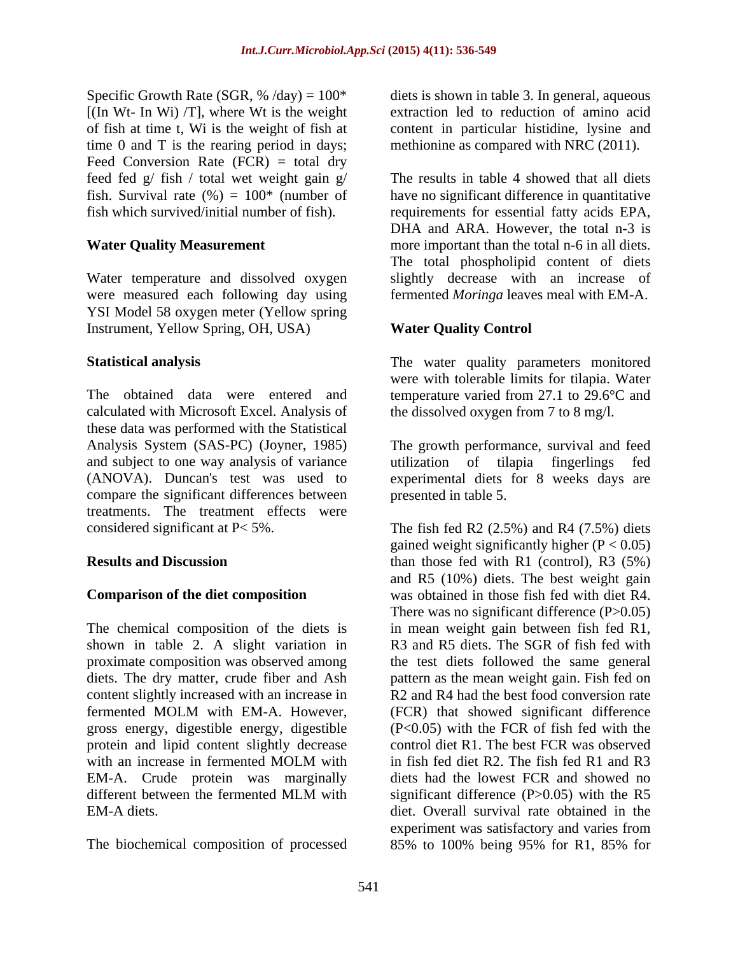$[(\text{In Wt- In Wi) /T}]$ , where Wt is the weight time 0 and T is the rearing period in days; Feed Conversion Rate (FCR) = total dry feed fed g/ fish / total wet weight gain g/

Water temperature and dissolved oxygen were measured each following day using YSI Model 58 oxygen meter (Yellow spring Instrument, Yellow Spring, OH, USA)

The obtained data were entered and temperature varied from 27.1 to 29.6°C and calculated with Microsoft Excel. Analysis of these data was performed with the Statistical and subject to one way analysis of variance<br>
(ANOVA). Duncan's test was used to experimental diets for 8 weeks days are compare the significant differences between treatments. The treatment effects were

The chemical composition of the diets is gross energy, digestible energy, digestible protein and lipid content slightly decrease

The biochemical composition of processed 85% to 100% being 95% for R1, 85% for

Specific Growth Rate (SGR, % /day) = 100\* diets is shown in table 3. In general, aqueous of fish at time t, Wi is the weight of fish at content in particular histidine, lysine and extraction led to reduction of amino acid methionine as compared with NRC (2011).

fish. Survival rate (%) = 100\* (number of have no significant difference in quantitative fish which survived/initial number of fish). requirements for essential fatty acids EPA, Water Quality Measurement more important than the total n-6 in all diets. The results in table 4 showed that all diets DHA and ARA. However, the total n-3 is The total phospholipid content of diets slightly decrease with an increase of fermented *Moringa* leaves meal with EM-A.

### **Water Quality Control**

**Statistical analysis** The water quality parameters monitored were with tolerable limits for tilapia. Water the dissolved oxygen from 7 to 8 mg/l.

Analysis System (SAS-PC) (Joyner, 1985) The growth performance, survival and feed (ANOVA). Duncan's test was used to experimental diets for 8 weeks days are utilization of tilapia fingerlings fed presented in table 5.

considered significant at  $P < 5\%$ . The fish fed R2 (2.5%) and R4 (7.5%) diets **Results and Discussion** than those fed with R1 (control), R3 (5%) **Comparison of the diet composition** was obtained in those fish fed with diet R4. shown in table 2. A slight variation in R3 and R5 diets. The SGR of fish fed with proximate composition was observed among the test diets followed the same general diets. The dry matter, crude fiber and Ash pattern as the mean weight gain. Fish fed on content slightly increased with an increase in R2 and R4 had the best food conversion rate fermented MOLM with EM-A. However, (FCR) that showed significant difference with an increase in fermented MOLM with in fish fed diet R2. The fish fed R1 and R3 EM-A. Crude protein was marginally diets had the lowest FCR and showed no different between the fermented MLM with significant difference (P>0.05) with the R5 EM-A diets. diet. Overall survival rate obtained in the gained weight significantly higher  $(P < 0.05)$ and R5 (10%) diets. The best weight gain There was no significant difference  $(P>0.05)$ in mean weight gain between fish fed R1, (FCR) that showed significant difference (P<0.05) with the FCR of fish fed with the control diet R1. The best FCR was observed in fish fed diet R2. The fish fed R1 and R3 significant difference  $(P>0.05)$  with the R5 experiment was satisfactory and varies from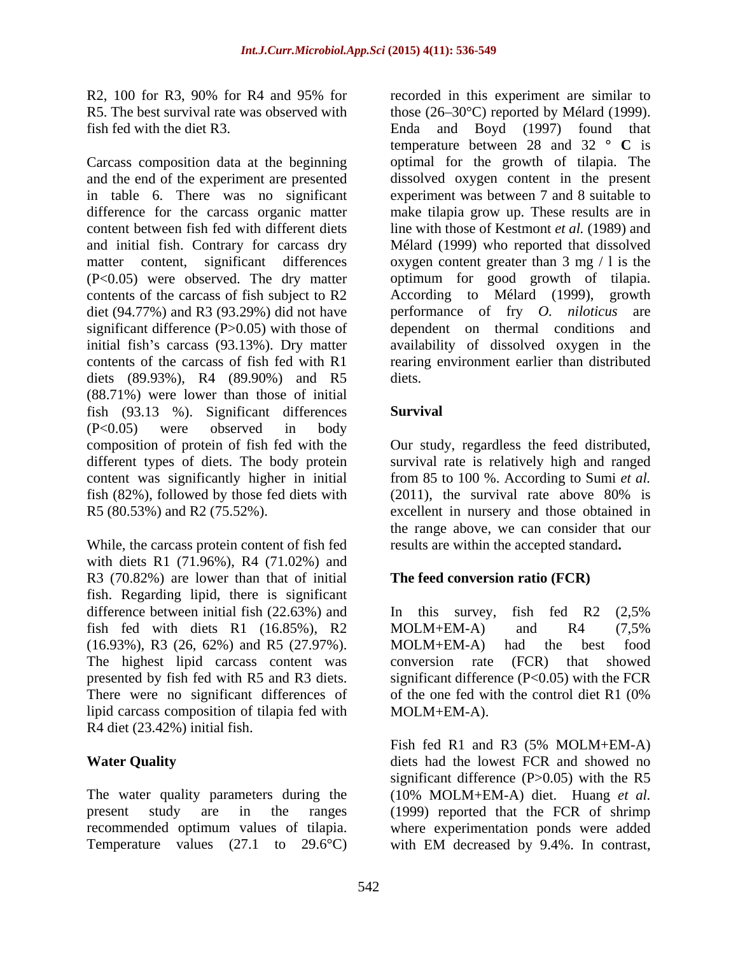Carcass composition data at the beginning (P<0.05) were observed. The dry matter contents of the carcass of fish subject to R2 According to Mélard (1999), growth diet (94.77%) and R3 (93.29%) did not have performance of fry  $O$ . *niloticus* are significant difference (P>0.05) with those of diets (89.93%), R4 (89.90%) and R5 diets. (88.71%) were lower than those of initial fish (93.13 %). Significant differences (P<0.05) were observed in body composition of protein of fish fed with the Our study, regardless the feed distributed, different types of diets. The body protein survival rate is relatively high and ranged content was significantly higher in initial from 85 to 100 %. According to Sumi *et al.* fish (82%), followed by those fed diets with  $(2011)$ , the survival rate above 80% is R5 (80.53%) and R2 (75.52%). R5 (80.53%) and R2 (75.52%). excellent in nursery and those obtained in

While, the carcass protein content of fish fed with diets R1 (71.96%), R4 (71.02%) and R3 (70.82%) are lower than that of initial fish. Regarding lipid, there is significant difference between initial fish  $(22.63%)$  and In this survey, fish fed R2  $(2.5%)$ fish fed with diets R1 (16.85%), R2 (16.93%), R3 (26, 62%) and R5 (27.97%). The highest lipid carcass content was conversion rate (FCR) that showed presented by fish fed with R5 and R3 diets. significant difference (P<0.05) with the FCR There were no significant differences of of the one fed with the control diet R1 (0%) lipid carcass composition of tilapia fed with R4 diet (23.42%) initial fish.

The water quality parameters during the Temperature values (27.1 to 29.6°C) with EM decreased by 9.4%. In contrast,

R2, 100 for R3, 90% for R4 and 95% for recorded in this experiment are similar to R5. The best survival rate was observed with those (26–30°C) reported by Mélard (1999). fish fed with the diet R3. Enda and Boyd (1997) found that and the end of the experiment are presented dissolved oxygen content in the present in table 6. There was no significant experiment was between 7 and 8 suitable to difference for the carcass organic matter make tilapia grow up. These results are in content between fish fed with different diets line with those of Kestmont *et al.* (1989) and and initial fish. Contrary for carcass dry Mélard (1999) who reported that dissolved matter content, significant differences oxygen content greater than 3 mg / l is the initial fish's carcass (93.13%). Dry matter availability of dissolved oxygen in the contents of the carcass of fish fed with R1 rearing environment earlier than distributed recorded in this experiment are similar to temperature between 28 and 32 **° C** is optimal for the growth of tilapia. The optimum for good growth of tilapia.<br>According to Mélard (1999), growth performance of fry *O. niloticus* dependent on thermal conditions and diets.

### **Survival**

(2011), the survival rate above 80% is the range above, we can consider that our results are within the accepted standard**.**

### **The feed conversion ratio (FCR)**

In this survey, fish fed R2 (2,5% MOLM+EM-A) and R4 (7,5% MOLM+EM-A) had the best food conversion rate (FCR) that showed of the one fed with the control diet R1 (0% MOLM+EM-A).

**Water Quality** diets had the lowest FCR and showed no present study are in the ranges (1999) reported that the FCR of shrimp recommended optimum values of tilapia. where experimentation ponds were added Fish fed R1 and R3 (5% MOLM+EM-A) significant difference  $(P>0.05)$  with the R5 (10% MOLM+EM-A) diet. Huang *et al.* with EM decreased by 9.4%. In contrast,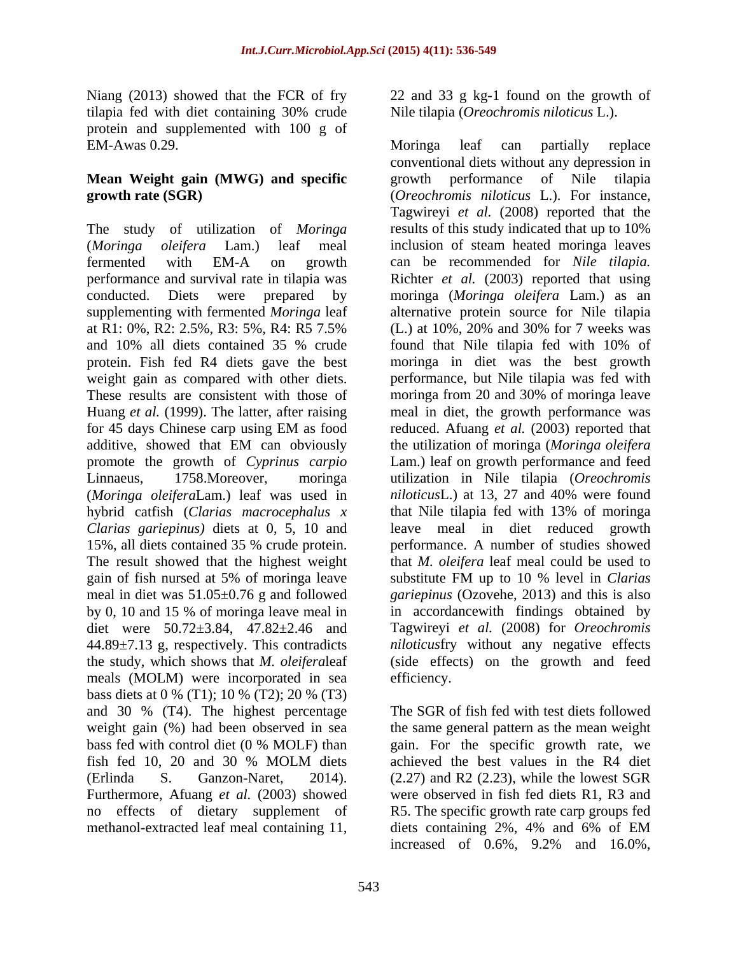protein and supplemented with 100 g of EM-Awas 0.29. The case of the Moringa leaf can partially replace

# **Mean Weight gain (MWG) and specific**

The study of utilization of *Moringa* results of this study indicated that up to 10% supplementing with fermented *Moringa* leaf at R1: 0%, R2: 2.5%, R3: 5%, R4: R5 7.5% These results are consistent with those of promote the growth of *Cyprinus carpio* hybrid catfish (*Clarias macrocephalus x Clarias gariepinus)* diets at 0, 5, 10 and 15%, all diets contained 35 % crude protein. The result showed that the highest weight meals (MOLM) were incorporated in sea bass diets at 0 % (T1); 10 % (T2); 20 % (T3) and 30 % (T4). The highest percentage weight gain (%) had been observed in sea methanol-extracted leaf meal containing 11, diets containing 2%, 4% and 6% of EM

543

Niang (2013) showed that the FCR of fry 22 and 33 g kg-1 found on the growth of tilapia fed with diet containing 30% crude Nile tilapia (Oreochromis niloticus L.). Nile tilapia (*Oreochromis niloticus* L.).

**growth rate (SGR)** (*Oreochromis niloticus* L.). For instance, (*Moringa oleifera* Lam.) leaf meal inclusion of steam heated moringa leaves fermented with EM-A on growth can be recommended for *Nile tilapia.* performance and survival rate in tilapia was Richter *et al.* (2003) reported that using conducted. Diets were prepared by moringa (*Moringa oleifera* Lam.) as an and 10% all diets contained 35 % crude protein. Fish fed R4 diets gave the best moringa in diet was the best growth weight gain as compared with other diets. <br>
performance, but Nile tilapia was fed with Huang *et al.* (1999). The latter, after raising meal in diet, the growth performance was for 45 days Chinese carp using EM as food reduced. Afuang et al. (2003) reported that additive, showed that EM can obviously the utilization of moringa (Moringa oleifera Linnaeus, 1758.Moreover, moringa utilization in Nile tilapia (*Oreochromis*  (*Moringa oleifera*Lam.) leaf was used in *niloticus*L.) at 13, 27 and 40% were found gain of fish nursed at 5% of moringa leave substitute FM up to 10 % level in *Clarias* meal in diet was 51.05±0.76 g and followed *gariepinus* (Ozovehe, 2013) and this is also by 0, 10 and 15 % of moringa leave meal in in accordance with findings obtained by diet were 50.72±3.84, 47.82±2.46 and Tagwireyi *et al.* (2008) for *Oreochromis*  44.89±7.13 g, respectively. This contradicts *niloticus*fry without any negative effects the study, which shows that *M. oleifera*leaf (side effects) on the growth and feed Moringa leaf can partially replace conventional diets without any depression in growth performance of Nile tilapia Tagwireyi *et al.* (2008) reported that the results of this study indicated that up to 10% alternative protein source for Nile tilapia (L.) at 10%, 20% and 30% for 7 weeks was found that Nile tilapia fed with 10% of moringa from 20 and 30% of moringa leave reduced. Afuang *et al.* (2003) reported that the utilization of moringa (*Moringa oleifera* Lam.) leaf on growth performance and feed that Nile tilapia fed with 13% of moringa leave meal in diet reduced growth performance. A number of studies showed that *M. oleifera* leaf meal could be used to substitute FM up to 10 % level in *Clarias* in accordancewith findings obtained by efficiency.

bass fed with control diet (0 % MOLF) than gain. For the specific growth rate, we fish fed 10, 20 and 30 % MOLM diets (Erlinda S. Ganzon-Naret, 2014). (2.27) and R2 (2.23), while the lowest SGR Furthermore, Afuang *et al.* (2003) showed were observed in fish fed diets R1, R3 and no effects of dietary supplement of R5. The specific growth rate carp groups fed The SGR of fish fed with test diets followed the same general pattern as the mean weight achieved the best values in the R4 diet diets containing 2%, 4% and 6% of EM increased of 0.6%, 9.2% and 16.0%,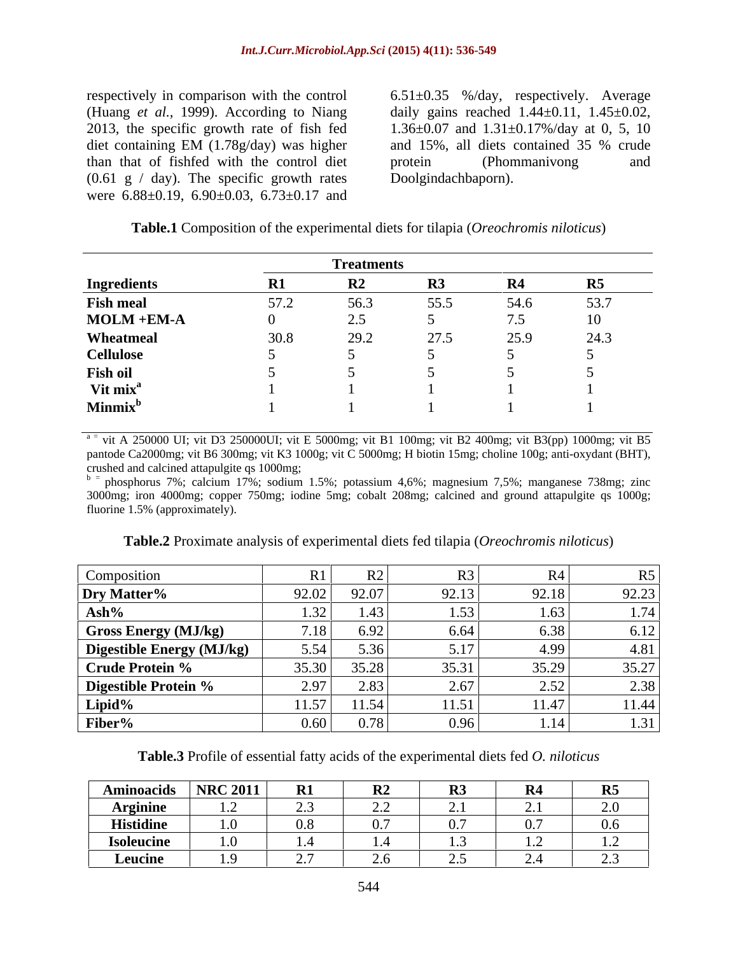(Huang *et al.,* 1999). According to Niang than that of fishfed with the control diet  $(0.61 \text{ g} / \text{day})$ . The specific growth rates were 6.88±0.19, 6.90±0.03, 6.73±0.17 and

respectively in comparison with the control 6.51±0.35 %/day, respectively. Average 2013, the specific growth rate of fish fed 1.36±0.07 and 1.31±0.17%/day at 0, 5, 10 diet containing EM (1.78g/day) was higher daily gains reached  $1.44 \pm 0.11$ ,  $1.45 \pm 0.02$ , and 15%, all diets contained 35 % crude protein (Phommanivong and Doolgindachbaporn).

| Table.1<br>Compo <sup>c</sup> | osition of the experimental diets for | $\sqrt{2}$<br>or tilapia ( <i>Oreochromi</i> ,<br>ants niloticus) |  |  |  |  |
|-------------------------------|---------------------------------------|-------------------------------------------------------------------|--|--|--|--|
|                               |                                       |                                                                   |  |  |  |  |

|                            | <b>Treatments</b>  |             |      |      |      |  |  |
|----------------------------|--------------------|-------------|------|------|------|--|--|
| <b>Ingredients</b>         | W                  | ₩           | R3   | R4   | R5   |  |  |
| <b>Fish meal</b>           | 572<br><u>JI.J</u> | 56.3        | 55.5 | 54.6 | 53.7 |  |  |
| $MOLM + EM-A$              |                    | $\sim$<br>ر |      | 75   | 10   |  |  |
| Wheatmeal                  | 30.8               | 29.2        | 27.5 | 25.9 | 24.3 |  |  |
| <b>Cellulose</b>           |                    |             |      |      |      |  |  |
| Fish oil                   |                    |             |      |      |      |  |  |
| Vit mix <sup>a</sup>       |                    |             |      |      |      |  |  |
| <b>Minmix</b> <sup>b</sup> |                    |             |      |      |      |  |  |

 $a =$  vit A 250000 UI; vit D3 250000UI; vit E 5000mg; vit B1 100mg; vit B2 400mg; vit B3(pp) 1000mg; vit B5 pantode Ca2000mg; vit B6 300mg; vit K3 1000g; vit C 5000mg; H biotin 15mg; choline 100g; anti-oxydant (BHT), crushed and calcined attapulgite qs 1000mg;

crushed and calcined attapulgite qs 1000mg;<br><sup>b =</sup> phosphorus 7%; calcium 17%; sodium 1.5%; potassium 4,6%; magnesium 7,5%; manganese 738mg; zinc 3000mg; iron 4000mg; copper 750mg; iodine 5mg; cobalt 208mg; calcined and ground attapulgite qs 1000g; fluorine 1.5% (approximately).

| Composition                      |        |       |                   |       |       |
|----------------------------------|--------|-------|-------------------|-------|-------|
| Dry Matter%                      | 92.021 | 92.07 | 92.13             | 92.18 | 92.23 |
| $\mathbf{Ash}\%$                 |        | 1.43  |                   |       |       |
| <b>Gross Energy (MJ/kg)</b>      | 718    | 6.92  | 6 64              |       |       |
| <b>Digestible Energy (MJ/kg)</b> | 5,54   | 5.36  |                   | 4 QQ  | 4.81  |
| <b>Crude Protein %</b>           | 35.30  | 35.28 | 35.31             | 35.29 | 35.27 |
| <b>Digestible Protein %</b>      | 2.97   | 2.83  | דג ו              |       |       |
| Lipid%                           | 11.57  | 11.54 | 11.51             | 11.47 | 11.44 |
| Fiber%                           | 0.60   |       | $\Omega$ $\Omega$ |       |       |

**Table.2** Proximate analysis of experimental diets fed tilapia (*Oreochromis niloticus*)

**Table.3** Profile of essential fatty acids of the experimental diets fed *O. niloticus*

| <b>Aminoacids</b>                  | NRC 2011     | $\mathbf{D}$ <sub>1</sub><br>171 | $\mathbf{D}$<br>1.LZ                                | D <sub>2</sub><br>RJ                | $\mathbf{D}$ $\mathbf{A}$<br>11 T | R5                                          |
|------------------------------------|--------------|----------------------------------|-----------------------------------------------------|-------------------------------------|-----------------------------------|---------------------------------------------|
| <b>Arginine</b>                    | . . <u>.</u> | - -                              | $\overline{\phantom{m}}\cdot\overline{\phantom{m}}$ | .                                   | --                                | 20<br>$\mathcal{L} \cdot \mathbf{U}$        |
| <b>Histidine</b>                   | .            | $\mathsf{v}\mathsf{v}\mathsf{v}$ | $\mathbf{v} \cdot \mathbf{r}$                       | $\ddotsc$                           |                                   | $\sim$ $\sim$<br>0.6 <sub>1</sub>           |
| $\sim$ $\sim$<br><b>Isoleucine</b> | $\cdots$     | .                                | $\blacksquare$                                      | $\cdot\cdot$                        | $\cdots$                          | $\overline{1}$                              |
| . .<br>Leucine                     | $\sim$<br>.  | $\sim$ $\sim$<br><u>.</u>        | $\angle$ .0                                         | $\overline{\phantom{m}}\phantom{m}$ |                                   | $\sim$ $\sim$<br>$\overline{\phantom{m}}\,$ |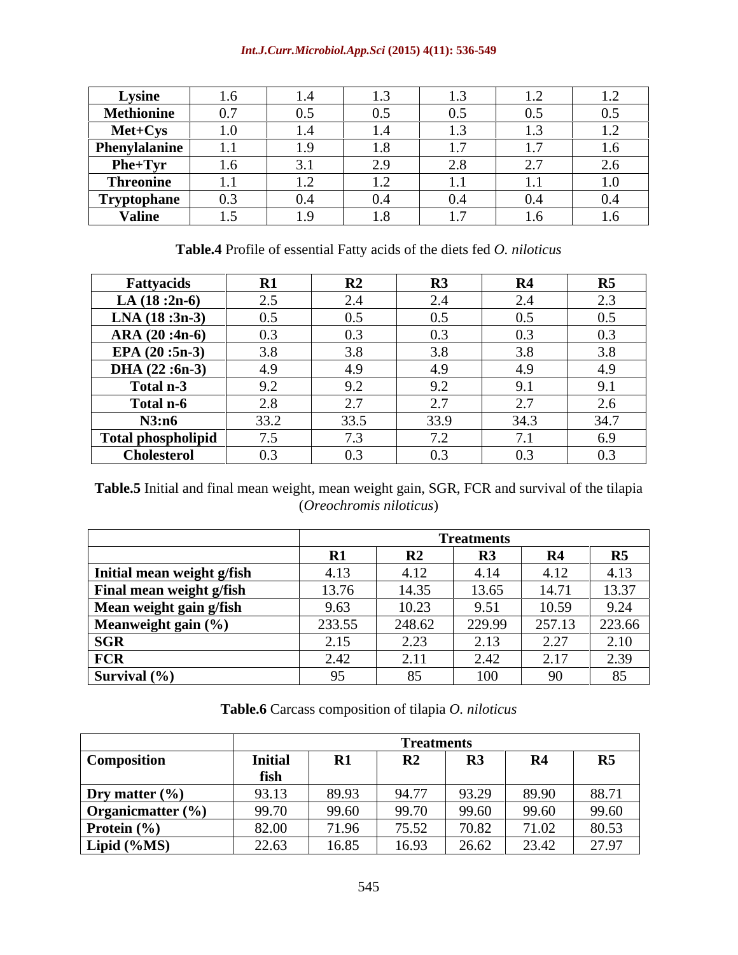### *Int.J.Curr.Microbiol.App.Sci* **(2015) 4(11): 536-549**

| <b>Lysine</b>      |                                               | . .            | .                                           | .                         |                                       | $\overline{1}$                                |
|--------------------|-----------------------------------------------|----------------|---------------------------------------------|---------------------------|---------------------------------------|-----------------------------------------------|
| <b>Methionine</b>  | $\sim$ $\sim$<br>$\mathsf{v}$ ., $\mathsf{v}$ | 0.5            | 0.5                                         | 0.5                       | $\wedge$ 5<br>$\mathsf{v} \mathsf{v}$ | 0.5                                           |
| Met+Cys            | $\Omega$                                      | . .            | . .                                         |                           | $\sim$                                | $\overline{1}$                                |
| Phenylalanine      | .                                             | $\cdots$       | $\cdot \cdot$                               | $\cdots$                  | .                                     | $\mathbf{1} \cdot \mathbf{U}$                 |
| Phe+Tyr            |                                               | ◡.             | $\sim$ $\sim$<br>$\overline{\phantom{m}}\,$ | $\sim$ $\sim$<br>$\sim\,$ | <u>.</u>                              | $\sim$ $\sim$<br>$\epsilon$<br>$\sim\!\!\sim$ |
| <b>Threonine</b>   | .                                             | $\cdot$ $\sim$ | $\cdots$                                    | $\cdots$                  | $\cdots$                              | $\mathbf{I} \cdot \mathbf{O}$                 |
| <b>Tryptophane</b> | $\mathsf{v} \cdot \mathsf{v}$                 | ∩<br>U.4       | 0.4                                         | $\mathbf{U}$<br>v.4       | J.4                                   | $0.4\,$                                       |
| <b>Valine</b>      |                                               | $\ddotsc$      | $\ddotsc$                                   | .                         |                                       | $\mathbf{I} \cdot \mathbf{O}$                 |

**Table.4** Profile of essential Fatty acids of the diets fed *O. niloticus*

| <b>Fattyacids</b>         | $\mathbf{R}1$ | R <sub>2</sub>                      | R3                       | R4                    | R5   |
|---------------------------|---------------|-------------------------------------|--------------------------|-----------------------|------|
| LA $(18:2n-6)$            | 2.5           | $\sim$ $\lambda$<br>$\sim$ . $\sim$ | <u>.</u>                 | 2.4                   | 2.3  |
| $LNA$ (18:3n-3)           | 0.5           | 0.5                                 | 0.5                      | ~ -<br>0.5            | 0.5  |
| $ARA (20:4n-6)$           | 0.3           | 0.3                                 | 0.3                      | $\sim$ $\sim$<br>0.3  | 0.3  |
| EPA $(20:5n-3)$           | 3.8           | 3.8                                 | 3.8                      | 3.8                   | 3.8  |
| DHA $(22:6n-3)$           | 4.9           | 4.9                                 | 4 Q<br>ー・ノ               | 4.9                   | 4.9  |
| Total n-3                 | 9.2           | Y.Z                                 | $\Omega$<br>フ・ム          | 9.1                   | 9.1  |
| Total n-6                 | 2.8           | $\sim$ $\sim$<br>، ،                | ـ.                       | $\sim$ $\sim$<br>ا قط | 2.6  |
| N3:n6                     | 33.2          | 33.5                                | 33.9                     | 34.3                  | 34.7 |
| <b>Total phospholipid</b> | 7.5           | $\cdot$ .                           | $\overline{\phantom{0}}$ | 71<br>1.1             | 6.9  |
| <b>Cholesterol</b>        | 0.3           | 0.3                                 | 0.3                      | 0.3                   | 0.3  |

**Table.5** Initial and final mean weight, mean weight gain, SGR, FCR and survival of the tilapia (*Oreochromis niloticus*)

|                            |               | <b>Treatments</b> |                |                |        |  |  |  |
|----------------------------|---------------|-------------------|----------------|----------------|--------|--|--|--|
|                            | $\mathbf{R}1$ | DA.<br>V∠         | R <sub>3</sub> | R <sub>4</sub> | R5     |  |  |  |
| Initial mean weight g/fish | 4.13          | 4.12              | 4.14           | 4.12           | 4.13   |  |  |  |
| Final mean weight g/fish   | 13.76         | 14.35             | 13.65          | 14.71          | 13.37  |  |  |  |
| Mean weight gain g/fish    | 9.63          | 10.23             | 9.51           | 10.59          | 9.24   |  |  |  |
| Meanweight gain (%)        | 233.55        | 248.62            | 229.99         | 257.13         | 223.66 |  |  |  |
| <b>SGR</b>                 | 2.15          | 2.23              | 2.13           | 2.27           | 2.10   |  |  |  |
| <b>FCR</b>                 | 2.42          | 2.11              | 2.42           | 2.17           | 2.39   |  |  |  |
| Survival $(\% )$           | Ω5            |                   | 100            | 90             | 85     |  |  |  |

**Table.6** Carcass composition of tilapia *O. niloticus*

|                              |                |       | <b>Treatments</b>     |            |                |       |
|------------------------------|----------------|-------|-----------------------|------------|----------------|-------|
| Composition                  | <b>Initial</b> | D1    | D <sub>2</sub><br>184 | <b>TTC</b> | R <sub>4</sub> | R5    |
|                              | fish           |       |                       |            |                |       |
| Dry matter (%)               | 93.13          | 89.93 | 94.77                 | 93.29      | 89.90          | 88.71 |
| $\int$ Organicmatter $(\% )$ | 99.70          | 99.60 | 99.70                 | 99.60      | 99.60          | 99.60 |
| Protein $(\% )$              | 82.00          | 71.96 | 75.52                 | 70.82      | 71.02          | 80.53 |
| Lipid (%MS)                  | 22.63          | 16.85 | 16.93                 | 26.62      | 23.42          | 27.97 |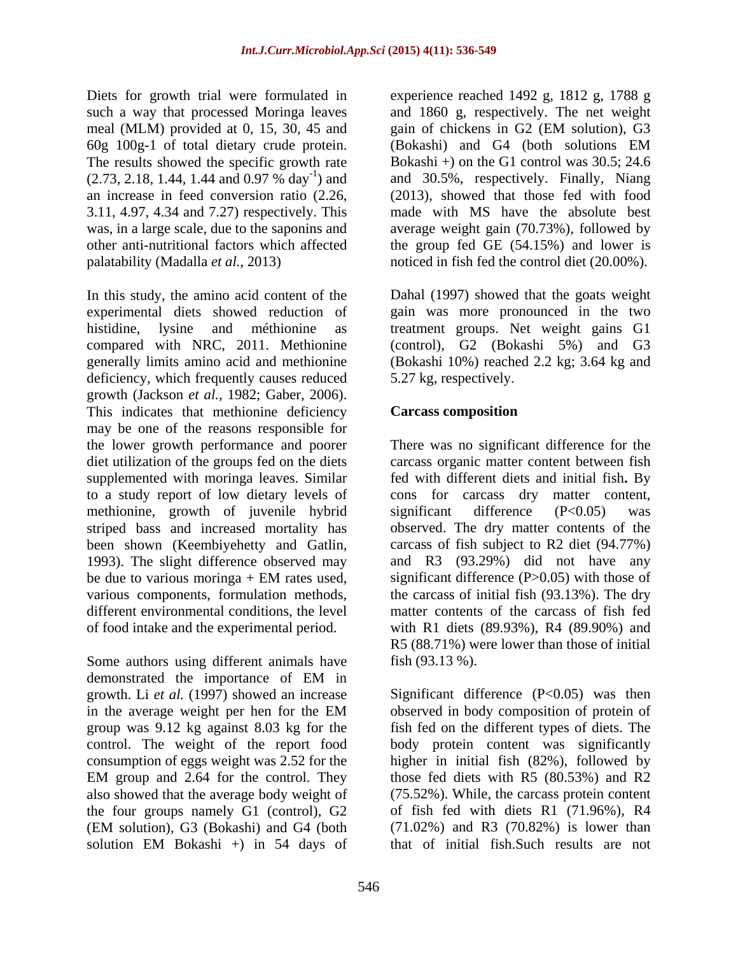meal (MLM) provided at 0, 15, 30, 45 and gain of chickens in G2 (EM solution), G3 60g 100g-1 of total dietary crude protein. The results showed the specific growth rate  $(2.73, 2.18, 1.44, 1.44 \text{ and } 0.97 \% \text{ day}^{-1})$  and<br>an increase in feed conversion ratio  $(2.26,$ 3.11, 4.97, 4.34 and 7.27) respectively. This

In this study, the amino acid content of the experimental diets showed reduction of gain was more pronounced in the two histidine, lysine and méthionine as treatment groups. Net weight gains G1 compared with NRC, 2011. Methionine (control), G2 (Bokashi 5%) and G3 generally limits amino acid and methionine deficiency, which frequently causes reduced growth (Jackson *et al.,* 1982; Gaber, 2006). This indicates that methionine deficiency **Carcass composition** may be one of the reasons responsible for the lower growth performance and poorer There was no significant difference for the diet utilization of the groups fed on the diets supplemented with moringa leaves. Similar fed with different diets and initial fish**.** By to a study report of low dietary levels of methionine, growth of juvenile hybrid significant difference (P<0.05) was striped bass and increased mortality has observed. The dry matter contents of the been shown (Keembiyehetty and Gatlin, carcass of fish subject to R2 diet (94.77%) 1993). The slight difference observed may be due to various moringa  $+$  EM rates used, significant difference (P $>0.05$ ) with those of various components, formulation methods, the carcass of initial fish (93.13%). The dry different environmental conditions, the level matter contents of the carcass of fish fed of food intake and the experimental period.

Some authors using different animals have demonstrated the importance of EM in growth. Li *et al.* (1997) showed an increase consumption of eggs weight was 2.52 for the the four groups namely G1 (control), G2 (EM solution), G3 (Bokashi) and G4 (both

Diets for growth trial were formulated in experience reached 1492 g, 1812 g, 1788 g such a way that processed Moringa leaves and 1860 g, respectively. The net weight ) and and 30.5%, respectively. Finally, Niang an increase in feed conversion ratio (2.26, (2013), showed that those fed with food was, in a large scale, due to the saponins and average weight gain (70.73%), followed by other anti-nutritional factors which affected the group fed GE (54.15%) and lower is palatability (Madalla *et al.,* 2013) noticed in fish fed the control diet (20.00%). gain of chickens in G2 (EM solution), G3 (Bokashi) and G4 (both solutions EM Bokashi  $+$ ) on the G1 control was  $30.5$ ; 24.6 made with MS have the absolute best

> Dahal (1997) showed that the goats weight (Bokashi 10%) reached 2.2 kg; 3.64 kg and 5.27 kg, respectively.

### **Carcass composition**

carcass organic matter content between fish cons for carcass dry matter content, significant difference (P<0.05) was and R3 (93.29%) did not have any significant difference (P>0.05) with those of with R1 diets (89.93%), R4 (89.90%) and R5 (88.71%) were lower than those of initial fish (93.13 %).

in the average weight per hen for the EM group was 9.12 kg against 8.03 kg for the fish fed on the different types of diets. The control. The weight of the report food body protein content was significantly EM group and 2.64 for the control. They those fed diets with R5 (80.53%) and R2 also showed that the average body weight of (75.52%). While, the carcass protein content solution EM Bokashi +) in 54 days of Significant difference  $(P<0.05)$  was then observed in body composition of protein of higher in initial fish (82%), followed by those fed diets with R5 (80.53%) and R2 of fish fed with diets  $R1$  (71.96%),  $R4$ (71.02%) and R3 (70.82%) is lower than that of initial fish.Such results are not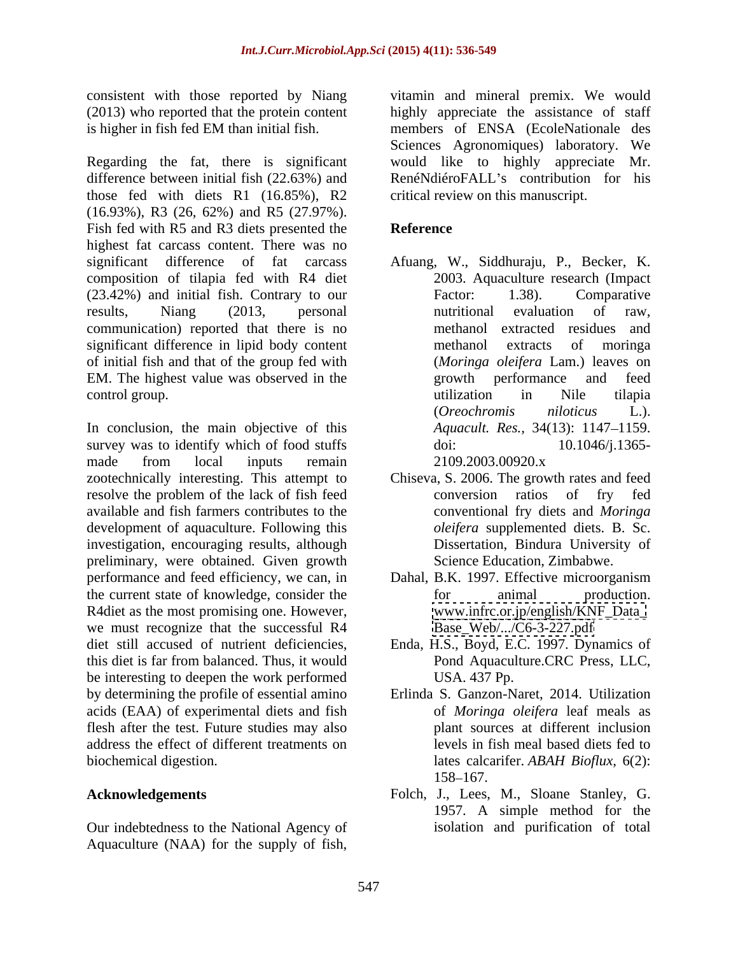Regarding the fat, there is significant would like to highly appreciate Mr. difference between initial fish (22.63%) and those fed with diets R1 (16.85%), R2 (16.93%), R3 (26, 62%) and R5 (27.97%). Fish fed with R5 and R3 diets presented the **Reference** highest fat carcass content. There was no significant difference of fat carcass Afuang, W., Siddhuraju, P., Becker, K. composition of tilapia fed with R4 diet (23.42%) and initial fish. Contrary to our results, Niang (2013, personal communication) reported that there is no significant difference in lipid body content methanol extracts of moringa of initial fish and that of the group fed with EM. The highest value was observed in the sprowth performance and feed control group.  $\Box$  in  $\Box$  in  $\Box$  in  $\Box$  in  $\Box$  in the tilapia

In conclusion, the main objective of this survey was to identify which of food stuffs doi:  $10.1046/1.1365$ made from local inputs remain 2109.2003.00920.x resolve the problem of the lack of fish feed conversion ratios of fry fed available and fish farmers contributes to the development of aquaculture. Following this investigation, encouraging results, although preliminary, were obtained. Given growth performance and feed efficiency, we can, in Dahal, B.K. 1997. Effective microorganism the current state of knowledge, consider the for animal production. R4diet as the most promising one. However, we must recognize that the successful R4 diet still accused of nutrient deficiencies, Enda, H.S., Boyd, E.C. 1997. Dynamics of this diet is far from balanced. Thus, it would be interesting to deepen the work performed USA. 437 Pp. by determining the profile of essential amino acids (EAA) of experimental diets and fish flesh after the test. Future studies may also address the effect of different treatments on biochemical digestion. lates calcarifer. *ABAH Bioflux*, 6(2):

Our indebtedness to the National Agency of Aquaculture (NAA) for the supply of fish,

consistent with those reported by Niang vitamin and mineral premix. We would (2013) who reported that the protein content highly appreciate the assistance of staff is higher in fish fed EM than initial fish. members of ENSA (EcoleNationale des Sciences Agronomiques) laboratory. We RenéNdiéroFALL's contribution for his critical review on this manuscript.

### **Reference**

- 2003. Aquaculture research (Impact Factor: 1.38). Comparative nutritional evaluation of raw, methanol extracted residues and methanol extracts of moringa (*Moringa oleifera* Lam.) leaves on growth performance and utilization in Nile tilapia (*Oreochromis niloticus* L.). *Aquacult. Res.,* 34(13): 1147–1159. doi: 10.1046/j.1365- 2109.2003.00920.x
- zootechnically interesting. This attempt to Chiseva, S. 2006. The growth rates and feed conversion ratios of fry fed conventional fry diets and *Moringa oleifera* supplemented diets. B. Sc. Dissertation, Bindura University of Science Education, Zimbabwe.
	- for animal production. [www.infrc.or.jp/english/KNF\\_Data\\_](http://www.infrc.or.jp/english/KNF_Data_) [Base\\_Web/.../C6-3-227.pdf](Base_Web/.../C6-3-227.pdf)
	- Pond Aquaculture.CRC Press, LLC, USA. 437 Pp.
	- Erlinda S. Ganzon-Naret, 2014. Utilization of *Moringa oleifera* leaf meals as plant sources at different inclusion levels in fish meal based diets fed to 158–167.
- **Acknowledgements** Folch, J., Lees, M., Sloane Stanley, G. 1957. A simple method for the isolation and purification of total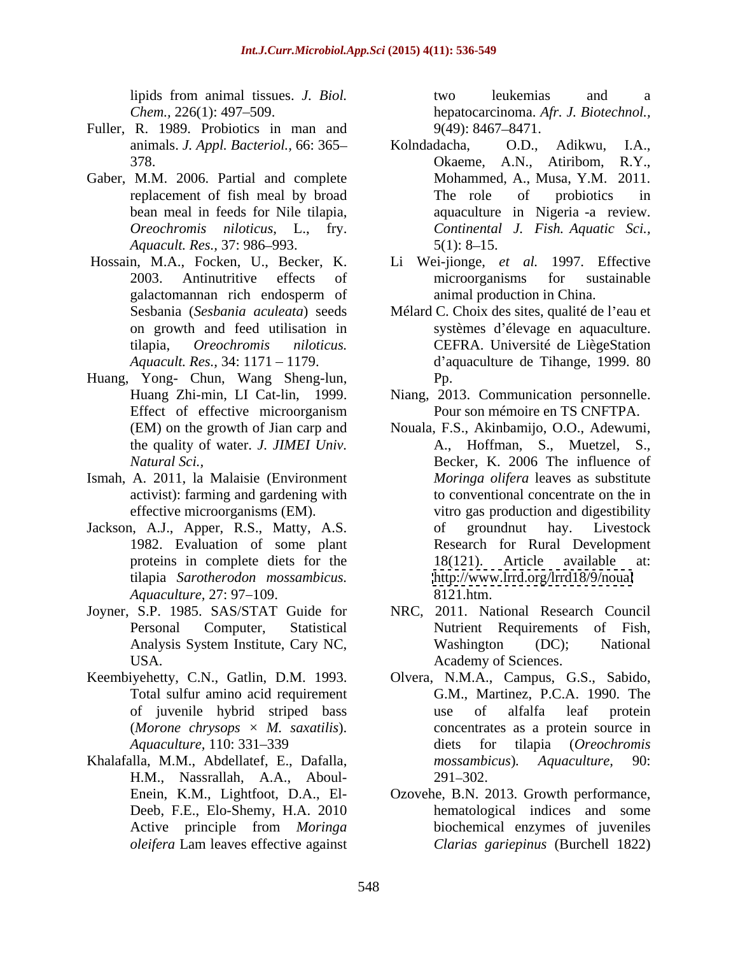- Fuller, R. 1989. Probiotics in man and 9(49): 8467–8471.
- Gaber, M.M. 2006. Partial and complete *Aquacult. Res.,* 37: 986–993. 5(1): 8–15.
- 
- Huang, Yong- Chun, Wang Sheng-lun,
- Ismah, A. 2011, la Malaisie (Environment activist): farming and gardening with
- tilapia *Sarotherodon mossambicus.*
- 
- 
- H.M., Nassrallah, A.A., Aboul-

lipids from animal tissues. *J. Biol. Chem.,* 226(1): 497 509. hepatocarcinoma. *Afr. J. Biotechnol.,* two leukemias and a 9(49): 8467–8471.

- animals. *J. Appl. Bacteriol.,* 66: 365 378. Okaeme, A.N., Atiribom, R.Y., replacement of fish meal by broad The role of probiotics in bean meal in feeds for Nile tilapia, aquaculture in Nigeria -a review. *Oreochromis niloticus*, L., fry. *Continental J. Fish. Aquatic Sci.,* Kolndadacha, O.D., Adikwu, I.A., Mohammed, A., Musa, Y.M. 2011. The role of probiotics in  $5(1)$ : 8-15.
- Hossain, M.A., Focken, U., Becker, K. Li Wei-jionge, *et al.* 1997. Effective 2003. Antinutritive effects of microorganisms for sustainable galactomannan rich endosperm of microorganisms for sustainable animal production in China.
	- Sesbania (*Sesbania aculeata*) seeds Mélard C. Choix des sites, qualité de l'eau et on growth and feed utilisation in systèmes d élevage en aquaculture. tilapia, *Oreochromis niloticus.* CEFRA. Université de LiègeStation *Aquacult. Res.*, 34: 1171 – 1179. d'aquaculture de Tihange, 1999. 80 Pp.
	- Huang Zhi-min, LI Cat-lin, 1999. Niang, 2013. Communication personnelle. Effect of effective microorganism Pour son mémoire en TS CNFTPA. Pour son mémoire en TS CNFTPA.
- (EM) on the growth of Jian carp and Nouala, F.S.,Akinbamijo, O.O., Adewumi, the quality of water. *J. JIMEI Univ.* A., Hoffman, S., Muetzel, S., *Natural Sci.,* Becker, K. 2006 The influence of effective microorganisms (EM). vitro gas production and digestibility Jackson, A.J., Apper, R.S., Matty, A.S. of groundnut hay. Livestock 1982. Evaluation of some plant Research for Rural Development proteins in complete diets for the 18(121). Article available at: *Aquaculture,* 27: 97 109. *Moringa olifera* leaves as substitute to conventional concentrate on the in of groundnut hay. Livestock 18(121). Article available at: <http://www.lrrd.org/lrrd18/9/noual> 8121.htm.
- Joyner, S.P. 1985. SAS/STAT Guide for NRC, 2011. National Research Council Personal Computer, Statistical Nutrient Requirements of Fish, Analysis System Institute, Cary NC, Washington (DC); National USA. Academy of Sciences. Washington (DC); National
- Keembiyehetty, C.N., Gatlin, D.M. 1993. Olvera, N.M.A., Campus, G.S., Sabido, Total sulfur amino acid requirement G.M., Martinez, P.C.A. 1990. The of juvenile hybrid striped bass (*Morone chrysops × M. saxatilis*). concentrates as a protein source in *Aquaculture,* 110: 331 339 Khalafalla, M.M., Abdellatef, E., Dafalla, mossambicus). Aquaculture, 90: use of alfalfa leaf protein diets for tilapia (*Oreochromis mossambicus*)*. Aquaculture,* 90:  $291 - 302.$ 
	- Enein, K.M., Lightfoot, D.A., El- Ozovehe, B.N. 2013. Growth performance, Deeb, F.E., Elo-Shemy, H.A. 2010 hematological indices and some Active principle from *Moringa oleifera* Lam leaves effective against biochemical enzymes of juveniles *Clarias gariepinus* (Burchell 1822)